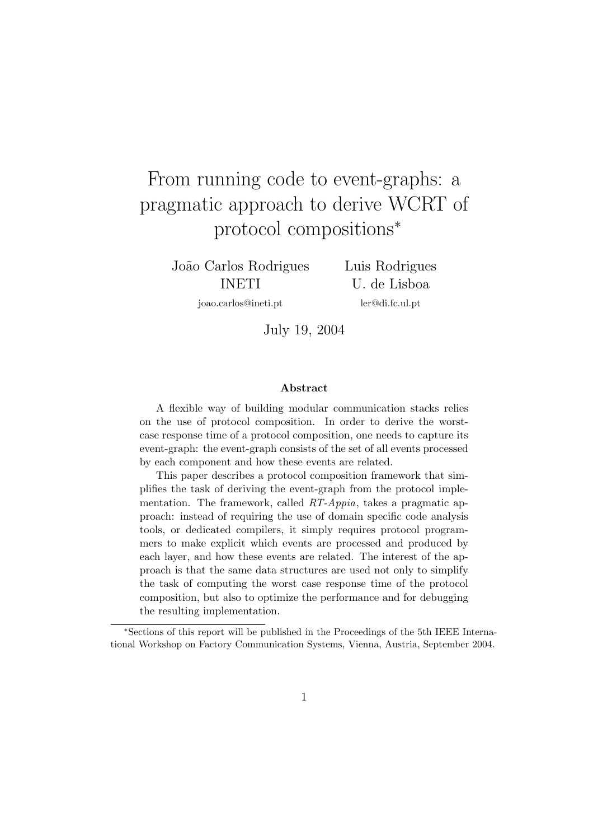# From running code to event-graphs: a pragmatic approach to derive WCRT of protocol compositions<sup>∗</sup>

Jo˜ao Carlos Rodrigues INETI

joao.carlos@ineti.pt

Luis Rodrigues U. de Lisboa ler@di.fc.ul.pt

July 19, 2004

#### Abstract

A flexible way of building modular communication stacks relies on the use of protocol composition. In order to derive the worstcase response time of a protocol composition, one needs to capture its event-graph: the event-graph consists of the set of all events processed by each component and how these events are related.

This paper describes a protocol composition framework that simplifies the task of deriving the event-graph from the protocol implementation. The framework, called RT-Appia, takes a pragmatic approach: instead of requiring the use of domain specific code analysis tools, or dedicated compilers, it simply requires protocol programmers to make explicit which events are processed and produced by each layer, and how these events are related. The interest of the approach is that the same data structures are used not only to simplify the task of computing the worst case response time of the protocol composition, but also to optimize the performance and for debugging the resulting implementation.

<sup>∗</sup>Sections of this report will be published in the Proceedings of the 5th IEEE International Workshop on Factory Communication Systems, Vienna, Austria, September 2004.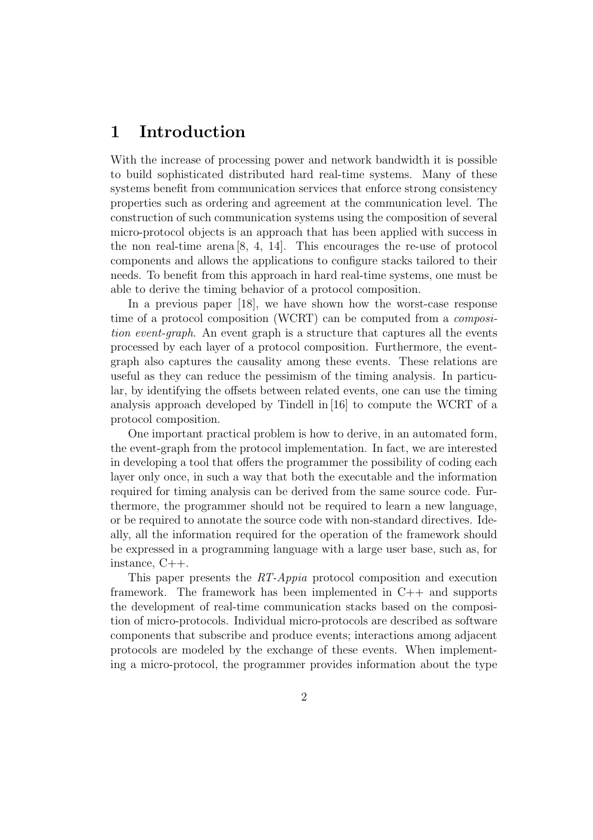### 1 Introduction

With the increase of processing power and network bandwidth it is possible to build sophisticated distributed hard real-time systems. Many of these systems benefit from communication services that enforce strong consistency properties such as ordering and agreement at the communication level. The construction of such communication systems using the composition of several micro-protocol objects is an approach that has been applied with success in the non real-time arena [8, 4, 14]. This encourages the re-use of protocol components and allows the applications to configure stacks tailored to their needs. To benefit from this approach in hard real-time systems, one must be able to derive the timing behavior of a protocol composition.

In a previous paper [18], we have shown how the worst-case response time of a protocol composition (WCRT) can be computed from a composition event-graph. An event graph is a structure that captures all the events processed by each layer of a protocol composition. Furthermore, the eventgraph also captures the causality among these events. These relations are useful as they can reduce the pessimism of the timing analysis. In particular, by identifying the offsets between related events, one can use the timing analysis approach developed by Tindell in [16] to compute the WCRT of a protocol composition.

One important practical problem is how to derive, in an automated form, the event-graph from the protocol implementation. In fact, we are interested in developing a tool that offers the programmer the possibility of coding each layer only once, in such a way that both the executable and the information required for timing analysis can be derived from the same source code. Furthermore, the programmer should not be required to learn a new language, or be required to annotate the source code with non-standard directives. Ideally, all the information required for the operation of the framework should be expressed in a programming language with a large user base, such as, for instance, C++.

This paper presents the RT-Appia protocol composition and execution framework. The framework has been implemented in C++ and supports the development of real-time communication stacks based on the composition of micro-protocols. Individual micro-protocols are described as software components that subscribe and produce events; interactions among adjacent protocols are modeled by the exchange of these events. When implementing a micro-protocol, the programmer provides information about the type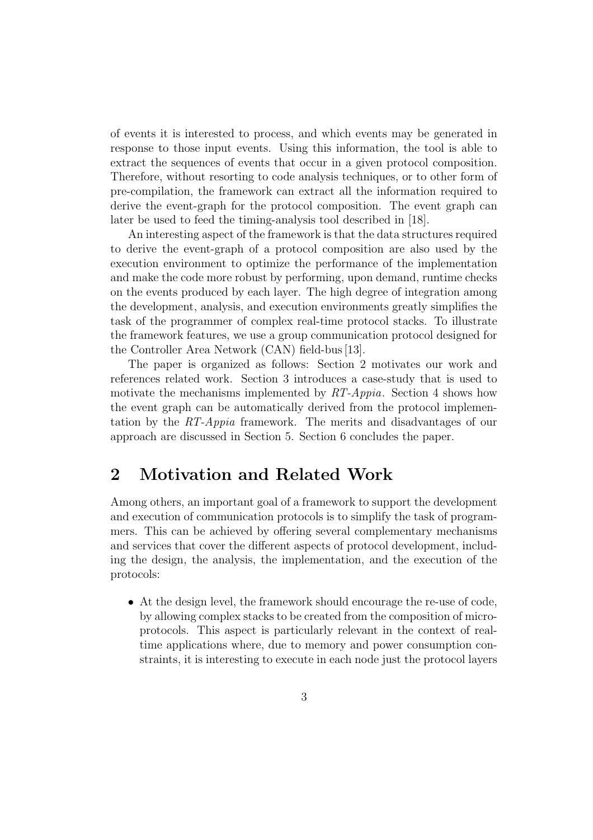of events it is interested to process, and which events may be generated in response to those input events. Using this information, the tool is able to extract the sequences of events that occur in a given protocol composition. Therefore, without resorting to code analysis techniques, or to other form of pre-compilation, the framework can extract all the information required to derive the event-graph for the protocol composition. The event graph can later be used to feed the timing-analysis tool described in [18].

An interesting aspect of the framework is that the data structures required to derive the event-graph of a protocol composition are also used by the execution environment to optimize the performance of the implementation and make the code more robust by performing, upon demand, runtime checks on the events produced by each layer. The high degree of integration among the development, analysis, and execution environments greatly simplifies the task of the programmer of complex real-time protocol stacks. To illustrate the framework features, we use a group communication protocol designed for the Controller Area Network (CAN) field-bus[13].

The paper is organized as follows: Section 2 motivates our work and references related work. Section 3 introduces a case-study that is used to motivate the mechanisms implemented by  $RT\text{-}Appia$ . Section 4 shows how the event graph can be automatically derived from the protocol implementation by the RT-Appia framework. The merits and disadvantages of our approach are discussed in Section 5. Section 6 concludes the paper.

### 2 Motivation and Related Work

Among others, an important goal of a framework to support the development and execution of communication protocols is to simplify the task of programmers. This can be achieved by offering several complementary mechanisms and services that cover the different aspects of protocol development, including the design, the analysis, the implementation, and the execution of the protocols:

• At the design level, the framework should encourage the re-use of code, by allowing complex stacks to be created from the composition of microprotocols. This aspect is particularly relevant in the context of realtime applications where, due to memory and power consumption constraints, it is interesting to execute in each node just the protocol layers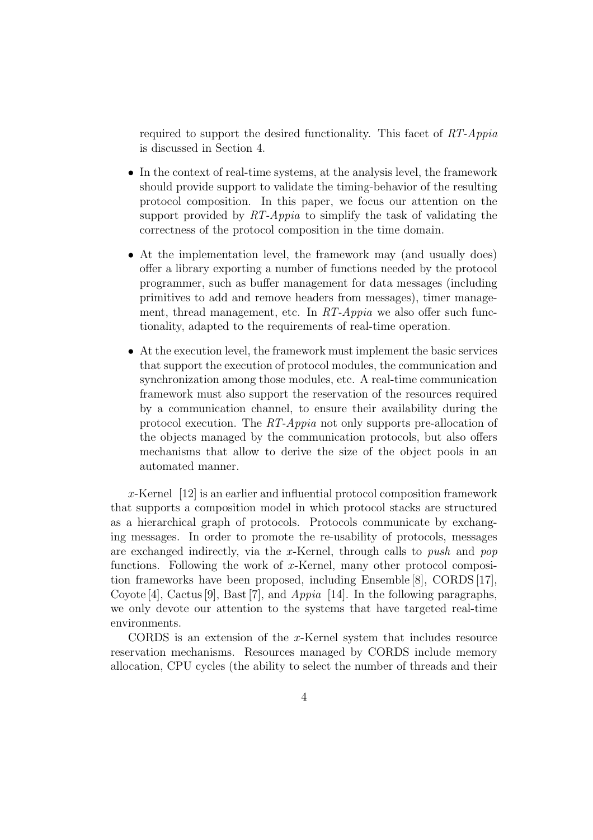required to support the desired functionality. This facet of RT-Appia is discussed in Section 4.

- In the context of real-time systems, at the analysis level, the framework should provide support to validate the timing-behavior of the resulting protocol composition. In this paper, we focus our attention on the support provided by RT-Appia to simplify the task of validating the correctness of the protocol composition in the time domain.
- At the implementation level, the framework may (and usually does) offer a library exporting a number of functions needed by the protocol programmer, such as buffer management for data messages (including primitives to add and remove headers from messages), timer management, thread management, etc. In RT-Appia we also offer such functionality, adapted to the requirements of real-time operation.
- At the execution level, the framework must implement the basic services that support the execution of protocol modules, the communication and synchronization among those modules, etc. A real-time communication framework must also support the reservation of the resources required by a communication channel, to ensure their availability during the protocol execution. The RT-Appia not only supports pre-allocation of the objects managed by the communication protocols, but also offers mechanisms that allow to derive the size of the object pools in an automated manner.

x-Kernel [12] is an earlier and influential protocol composition framework that supports a composition model in which protocol stacks are structured as a hierarchical graph of protocols. Protocols communicate by exchanging messages. In order to promote the re-usability of protocols, messages are exchanged indirectly, via the x-Kernel, through calls to push and pop functions. Following the work of x-Kernel, many other protocol composition frameworks have been proposed, including Ensemble [8], CORDS [17], Coyote [4], Cactus [9], Bast [7], and Appia [14]. In the following paragraphs, we only devote our attention to the systems that have targeted real-time environments.

CORDS is an extension of the x-Kernel system that includes resource reservation mechanisms. Resources managed by CORDS include memory allocation, CPU cycles (the ability to select the number of threads and their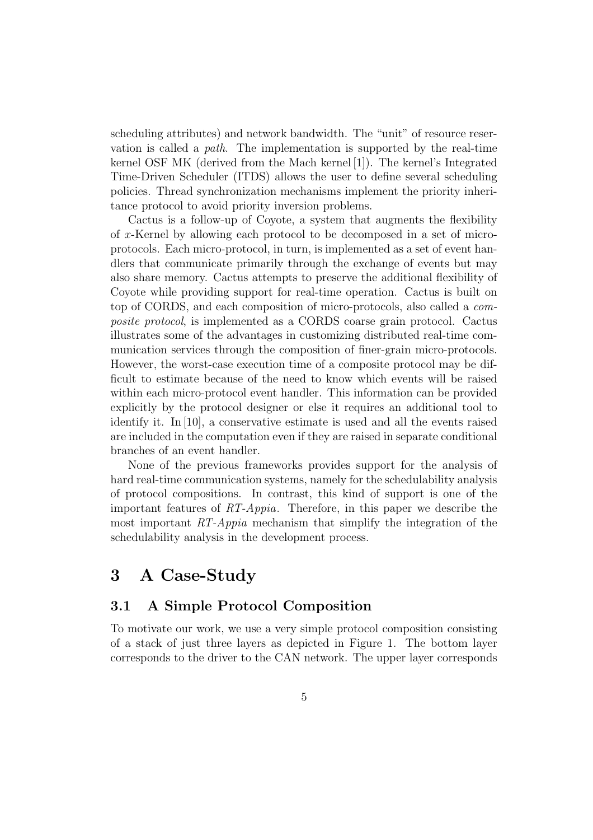scheduling attributes) and network bandwidth. The "unit" of resource reservation is called a path. The implementation is supported by the real-time kernel OSF MK (derived from the Mach kernel [1]). The kernel's Integrated Time-Driven Scheduler (ITDS) allows the user to define several scheduling policies. Thread synchronization mechanisms implement the priority inheritance protocol to avoid priority inversion problems.

Cactus is a follow-up of Coyote, a system that augments the flexibility of x-Kernel by allowing each protocol to be decomposed in a set of microprotocols. Each micro-protocol, in turn, is implemented as a set of event handlers that communicate primarily through the exchange of events but may also share memory. Cactus attempts to preserve the additional flexibility of Coyote while providing support for real-time operation. Cactus is built on top of CORDS, and each composition of micro-protocols, also called a composite protocol, is implemented as a CORDS coarse grain protocol. Cactus illustrates some of the advantages in customizing distributed real-time communication services through the composition of finer-grain micro-protocols. However, the worst-case execution time of a composite protocol may be difficult to estimate because of the need to know which events will be raised within each micro-protocol event handler. This information can be provided explicitly by the protocol designer or else it requires an additional tool to identify it. In [10], a conservative estimate is used and all the events raised are included in the computation even if they are raised in separate conditional branches of an event handler.

None of the previous frameworks provides support for the analysis of hard real-time communication systems, namely for the schedulability analysis of protocol compositions. In contrast, this kind of support is one of the important features of RT-Appia. Therefore, in this paper we describe the most important  $RT\text{-}Appia$  mechanism that simplify the integration of the schedulability analysis in the development process.

# 3 A Case-Study

#### 3.1 A Simple Protocol Composition

To motivate our work, we use a very simple protocol composition consisting of a stack of just three layers as depicted in Figure 1. The bottom layer corresponds to the driver to the CAN network. The upper layer corresponds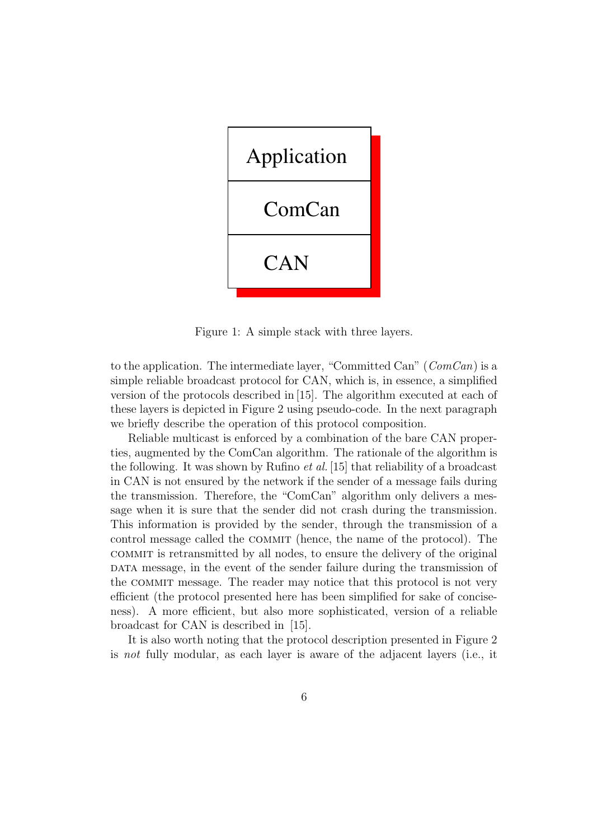

Figure 1: A simple stack with three layers.

to the application. The intermediate layer, "Committed Can" ( $ComCan$ ) is a simple reliable broadcast protocol for CAN, which is, in essence, a simplified version of the protocols described in [15]. The algorithm executed at each of these layers is depicted in Figure 2 using pseudo-code. In the next paragraph we briefly describe the operation of this protocol composition.

Reliable multicast is enforced by a combination of the bare CAN properties, augmented by the ComCan algorithm. The rationale of the algorithm is the following. It was shown by Rufino et al. [15] that reliability of a broadcast in CAN is not ensured by the network if the sender of a message fails during the transmission. Therefore, the "ComCan" algorithm only delivers a message when it is sure that the sender did not crash during the transmission. This information is provided by the sender, through the transmission of a control message called the COMMIT (hence, the name of the protocol). The commit is retransmitted by all nodes, to ensure the delivery of the original DATA message, in the event of the sender failure during the transmission of the commit message. The reader may notice that this protocol is not very efficient (the protocol presented here has been simplified for sake of conciseness). A more efficient, but also more sophisticated, version of a reliable broadcast for CAN is described in [15].

It is also worth noting that the protocol description presented in Figure 2 is not fully modular, as each layer is aware of the adjacent layers (i.e., it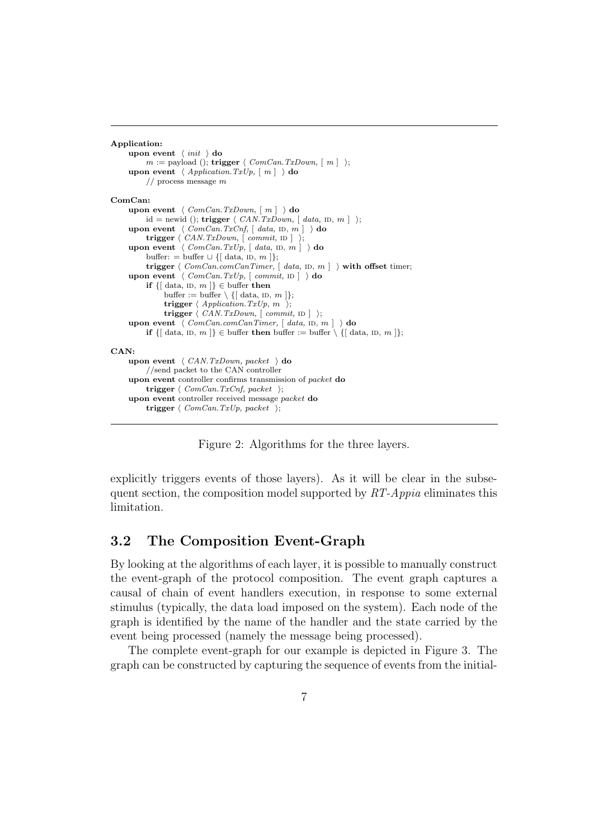```
Application:
      upon event \langle init \rangle do
           m := \text{payload}(); trigger \langle ComCan.TxDown, [ m ] \rangle;
      upon event \langle Application.TxUp, [m] \rangle do
            // process message m
ComCan:
      upon event \langle ComCan.TxDown, [ m ] \rangle do
           \emph{id = newid (), trigger} \ \langle \ \textit{CAN.TxDown}, \ [\ \textit{data, ID}, \ m \ ] \ \ \rangle;upon event \langle ComCan.TxCnf, [ data, ID, m ] \rangle do
           trigger \langle CAN.TxDown, \vert commit, \vert id \rangle;
      upon event \langle ComCan. TxUp, [data, in, m] \rangle do
           buffer: = buffer \cup {[ data, iD, m ]};
           trigger \langle ComCanConnCanTimer, [ data, ID, m ] \rangle with offset timer;
      upon event \langle ComCan.TxUp, [commit, ID] \rangle do
           if \{ data, iD, m \} \in buffer then
                  buffer := buffer \setminus \{ [\text{ data, ID, } m ] \};trigger \langle Application.TxUp, m \rangle;
                  trigger \langle CAN.TxDown, \lceil commit, ID \rceil \rangle;
      upon event \overline{\langle \textit{ComCanConnCanTimer}, [\textit{data}, \textit{ID}, \textit{m}]\rangle} do
           if \{ [\text{ data}, \text{ID}, \text{m} ] \} \in \text{buffer} then buffer := buffer \setminus \{ [\text{ data}, \text{ID}, \text{m} ] \};CANupon event \langle CAN.TxDown, packet \rangle do
            //send packet to the CAN controller
      upon event controller confirms transmission of packet do
           trigger \langle ComCan.TxCnf, packet \rangle;
      upon event controller received message packet do
            trigger \langle ComCan.TxUp, packet \rangle;
```
Figure 2: Algorithms for the three layers.

explicitly triggers events of those layers). As it will be clear in the subsequent section, the composition model supported by  $RT-Appia$  eliminates this limitation.

#### 3.2 The Composition Event-Graph

By looking at the algorithms of each layer, it is possible to manually construct the event-graph of the protocol composition. The event graph captures a causal of chain of event handlers execution, in response to some external stimulus (typically, the data load imposed on the system). Each node of the graph is identified by the name of the handler and the state carried by the event being processed (namely the message being processed).

The complete event-graph for our example is depicted in Figure 3. The graph can be constructed by capturing the sequence of events from the initial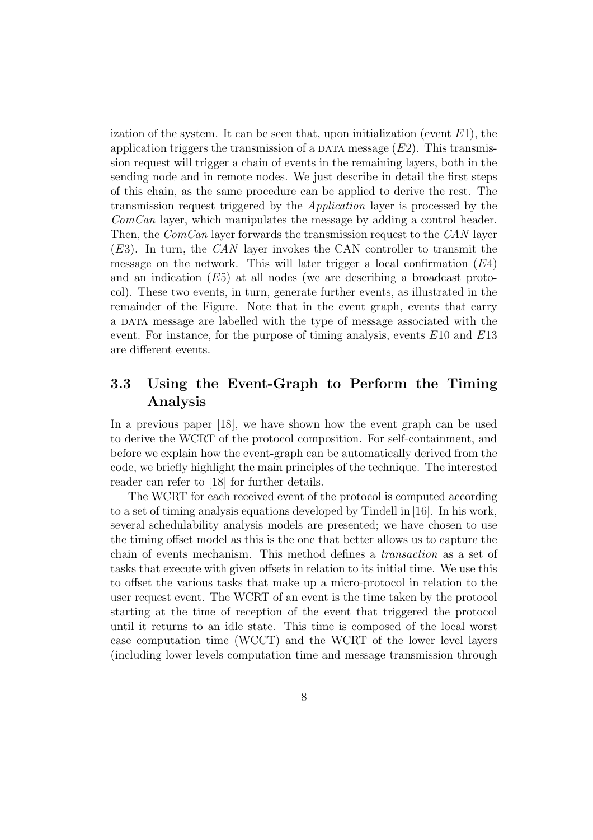ization of the system. It can be seen that, upon initialization (event  $E1$ ), the application triggers the transmission of a DATA message  $(E2)$ . This transmission request will trigger a chain of events in the remaining layers, both in the sending node and in remote nodes. We just describe in detail the first steps of this chain, as the same procedure can be applied to derive the rest. The transmission request triggered by the Application layer is processed by the  $ComCan$  layer, which manipulates the message by adding a control header. Then, the *ComCan* layer forwards the transmission request to the *CAN* layer  $(E3)$ . In turn, the CAN layer invokes the CAN controller to transmit the message on the network. This will later trigger a local confirmation  $(E4)$ and an indication (E5) at all nodes (we are describing a broadcast protocol). These two events, in turn, generate further events, as illustrated in the remainder of the Figure. Note that in the event graph, events that carry a data message are labelled with the type of message associated with the event. For instance, for the purpose of timing analysis, events  $E10$  and  $E13$ are different events.

### 3.3 Using the Event-Graph to Perform the Timing Analysis

In a previous paper [18], we have shown how the event graph can be used to derive the WCRT of the protocol composition. For self-containment, and before we explain how the event-graph can be automatically derived from the code, we briefly highlight the main principles of the technique. The interested reader can refer to [18] for further details.

The WCRT for each received event of the protocol is computed according to a set of timing analysis equations developed by Tindell in [16]. In his work, several schedulability analysis models are presented; we have chosen to use the timing offset model as this is the one that better allows us to capture the chain of events mechanism. This method defines a transaction as a set of tasks that execute with given offsets in relation to its initial time. We use this to offset the various tasks that make up a micro-protocol in relation to the user request event. The WCRT of an event is the time taken by the protocol starting at the time of reception of the event that triggered the protocol until it returns to an idle state. This time is composed of the local worst case computation time (WCCT) and the WCRT of the lower level layers (including lower levels computation time and message transmission through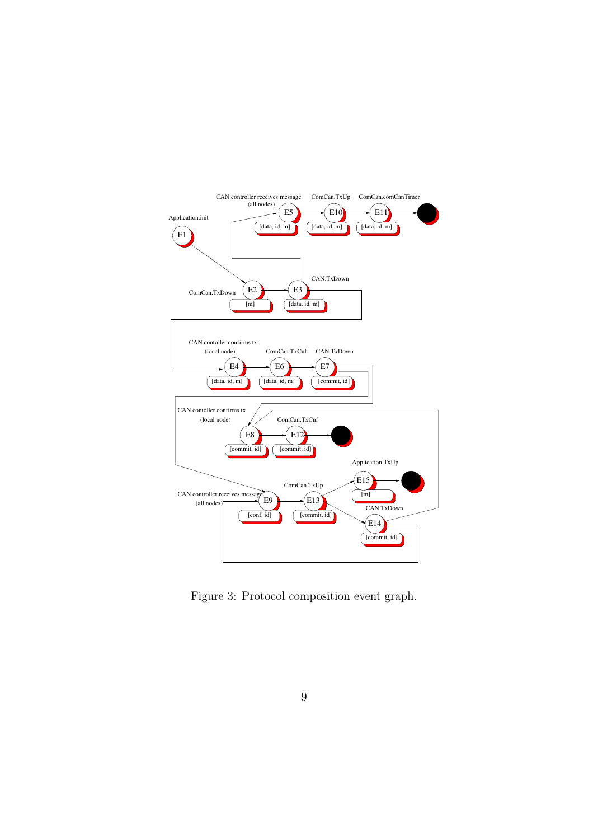

Figure 3: Protocol composition event graph.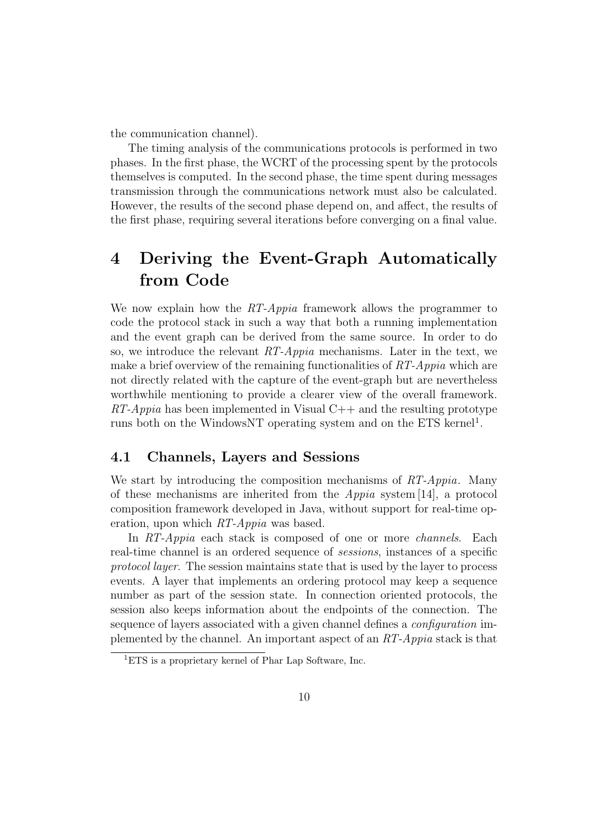the communication channel).

The timing analysis of the communications protocols is performed in two phases. In the first phase, the WCRT of the processing spent by the protocols themselves is computed. In the second phase, the time spent during messages transmission through the communications network must also be calculated. However, the results of the second phase depend on, and affect, the results of the first phase, requiring several iterations before converging on a final value.

# 4 Deriving the Event-Graph Automatically from Code

We now explain how the RT-Appia framework allows the programmer to code the protocol stack in such a way that both a running implementation and the event graph can be derived from the same source. In order to do so, we introduce the relevant  $RT\text{-}Appia$  mechanisms. Later in the text, we make a brief overview of the remaining functionalities of  $RT\text{-}Appia$  which are not directly related with the capture of the event-graph but are nevertheless worthwhile mentioning to provide a clearer view of the overall framework.  $RT\text{-}Appia$  has been implemented in Visual  $C++$  and the resulting prototype runs both on the WindowsNT operating system and on the ETS kernel<sup>1</sup>.

#### 4.1 Channels, Layers and Sessions

We start by introducing the composition mechanisms of RT-Appia. Many of these mechanisms are inherited from the Appia system [14], a protocol composition framework developed in Java, without support for real-time operation, upon which RT-Appia was based.

In RT-Appia each stack is composed of one or more channels. Each real-time channel is an ordered sequence of sessions, instances of a specific protocol layer. The session maintains state that is used by the layer to process events. A layer that implements an ordering protocol may keep a sequence number as part of the session state. In connection oriented protocols, the session also keeps information about the endpoints of the connection. The sequence of layers associated with a given channel defines a configuration implemented by the channel. An important aspect of an RT-Appia stack is that

 ${}^{1}ETS$  is a proprietary kernel of Phar Lap Software, Inc.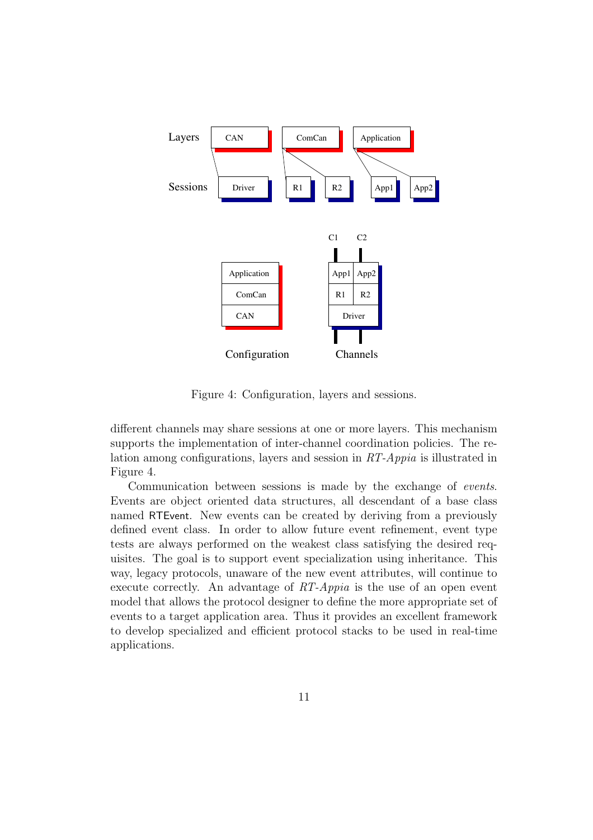

Figure 4: Configuration, layers and sessions.

different channels may share sessions at one or more layers. This mechanism supports the implementation of inter-channel coordination policies. The relation among configurations, layers and session in RT-Appia is illustrated in Figure 4.

Communication between sessions is made by the exchange of events. Events are object oriented data structures, all descendant of a base class named RTEvent. New events can be created by deriving from a previously defined event class. In order to allow future event refinement, event type tests are always performed on the weakest class satisfying the desired requisites. The goal is to support event specialization using inheritance. This way, legacy protocols, unaware of the new event attributes, will continue to execute correctly. An advantage of  $RT-Appia$  is the use of an open event model that allows the protocol designer to define the more appropriate set of events to a target application area. Thus it provides an excellent framework to develop specialized and efficient protocol stacks to be used in real-time applications.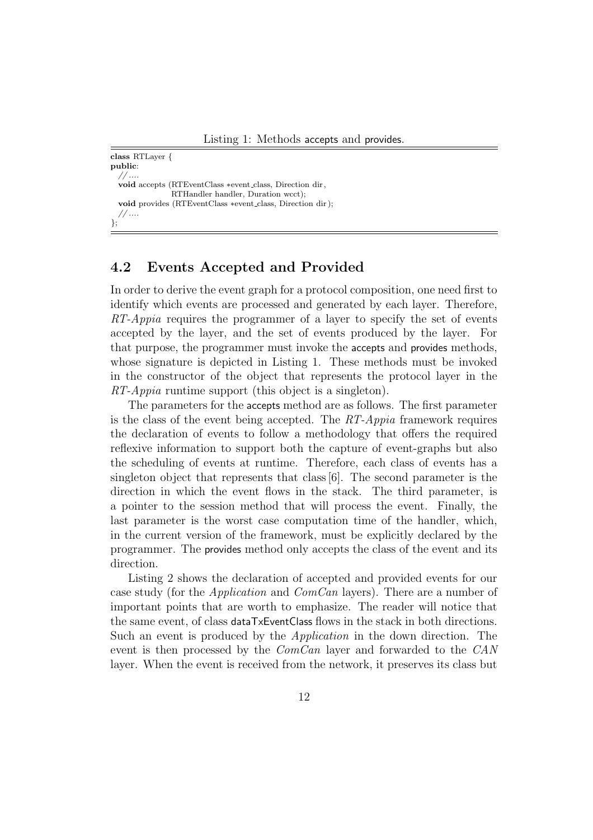class RTLayer { public: // .... void accepts (RTEventClass ∗event class, Direction dir , RTHandler handler, Duration wcct); void provides (RTEventClass ∗event class, Direction dir ); // .... };

#### 4.2 Events Accepted and Provided

In order to derive the event graph for a protocol composition, one need first to identify which events are processed and generated by each layer. Therefore, RT-Appia requires the programmer of a layer to specify the set of events accepted by the layer, and the set of events produced by the layer. For that purpose, the programmer must invoke the accepts and provides methods, whose signature is depicted in Listing 1. These methods must be invoked in the constructor of the object that represents the protocol layer in the RT-Appia runtime support (this object is a singleton).

The parameters for the accepts method are as follows. The first parameter is the class of the event being accepted. The RT-Appia framework requires the declaration of events to follow a methodology that offers the required reflexive information to support both the capture of event-graphs but also the scheduling of events at runtime. Therefore, each class of events has a singleton object that represents that class[6]. The second parameter is the direction in which the event flows in the stack. The third parameter, is a pointer to the session method that will process the event. Finally, the last parameter is the worst case computation time of the handler, which, in the current version of the framework, must be explicitly declared by the programmer. The provides method only accepts the class of the event and its direction.

Listing 2 shows the declaration of accepted and provided events for our case study (for the *Application* and *ComCan* layers). There are a number of important points that are worth to emphasize. The reader will notice that the same event, of class dataTxEventClass flows in the stack in both directions. Such an event is produced by the Application in the down direction. The event is then processed by the ComCan layer and forwarded to the CAN layer. When the event is received from the network, it preserves its class but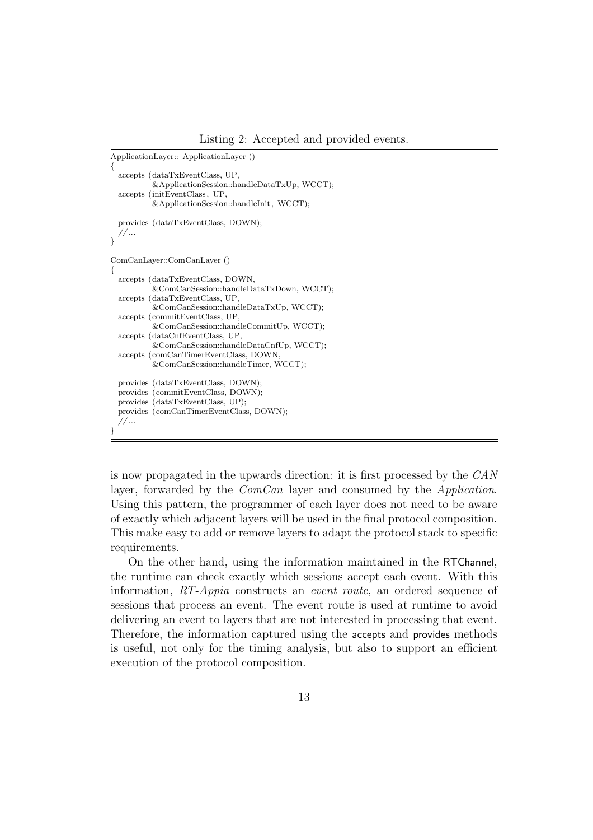Listing 2: Accepted and provided events.

```
ApplicationLayer:: ApplicationLayer ()
{
 accepts (dataTxEventClass, UP,
          &ApplicationSession::handleDataTxUp, WCCT);
 accepts (initEventClass , UP,
          &ApplicationSession::handleInit , WCCT);
 provides (dataTxEventClass, DOWN);
 // ...
\mathfrak{g}ComCanLayer::ComCanLayer ()
{
 accepts (dataTxEventClass, DOWN,
          &ComCanSession::handleDataTxDown, WCCT);
 accepts (dataTxEventClass, UP,
          &ComCanSession::handleDataTxUp, WCCT);
 accepts (commitEventClass, UP,
          &ComCanSession::handleCommitUp, WCCT);
 accepts (dataCnfEventClass, UP,
          &ComCanSession::handleDataCnfUp, WCCT);
 accepts (comCanTimerEventClass, DOWN,
          &ComCanSession::handleTimer, WCCT);
 provides (dataTxEventClass, DOWN);
 provides (commitEventClass, DOWN);
 provides (dataTxEventClass, UP);
 provides (comCanTimerEventClass, DOWN);
  // ...
}
```
is now propagated in the upwards direction: it is first processed by the CAN layer, forwarded by the *ComCan* layer and consumed by the *Application*. Using this pattern, the programmer of each layer does not need to be aware of exactly which adjacent layers will be used in the final protocol composition. This make easy to add or remove layers to adapt the protocol stack to specific requirements.

On the other hand, using the information maintained in the RTChannel, the runtime can check exactly which sessions accept each event. With this information, RT-Appia constructs an event route, an ordered sequence of sessions that process an event. The event route is used at runtime to avoid delivering an event to layers that are not interested in processing that event. Therefore, the information captured using the accepts and provides methods is useful, not only for the timing analysis, but also to support an efficient execution of the protocol composition.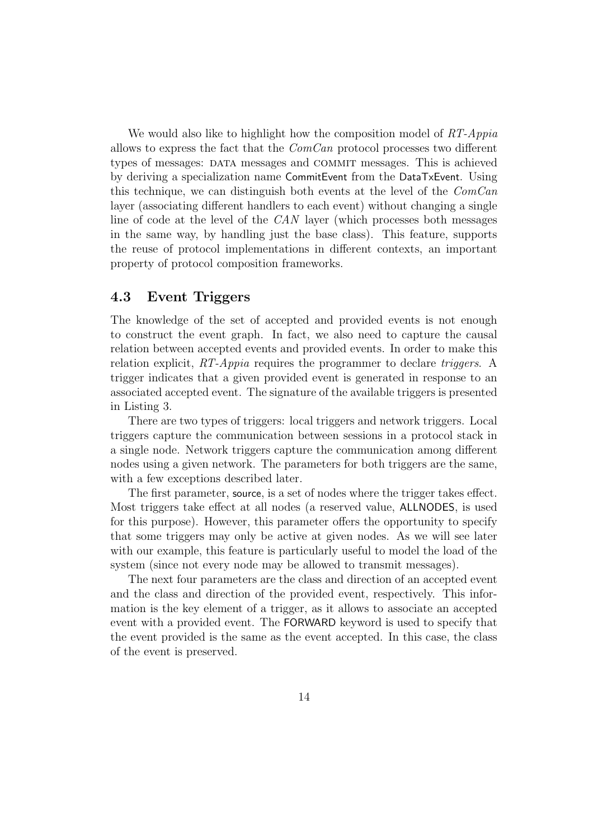We would also like to highlight how the composition model of  $RT\text{-}Appia$ allows to express the fact that the  $ComCan$  protocol processes two different types of messages: data messages and commit messages. This is achieved by deriving a specialization name CommitEvent from the DataTxEvent. Using this technique, we can distinguish both events at the level of the ComCan layer (associating different handlers to each event) without changing a single line of code at the level of the CAN layer (which processes both messages in the same way, by handling just the base class). This feature, supports the reuse of protocol implementations in different contexts, an important property of protocol composition frameworks.

#### 4.3 Event Triggers

The knowledge of the set of accepted and provided events is not enough to construct the event graph. In fact, we also need to capture the causal relation between accepted events and provided events. In order to make this relation explicit, RT-Appia requires the programmer to declare triggers. A trigger indicates that a given provided event is generated in response to an associated accepted event. The signature of the available triggers is presented in Listing 3.

There are two types of triggers: local triggers and network triggers. Local triggers capture the communication between sessions in a protocol stack in a single node. Network triggers capture the communication among different nodes using a given network. The parameters for both triggers are the same, with a few exceptions described later.

The first parameter, source, is a set of nodes where the trigger takes effect. Most triggers take effect at all nodes (a reserved value, ALLNODES, is used for this purpose). However, this parameter offers the opportunity to specify that some triggers may only be active at given nodes. As we will see later with our example, this feature is particularly useful to model the load of the system (since not every node may be allowed to transmit messages).

The next four parameters are the class and direction of an accepted event and the class and direction of the provided event, respectively. This information is the key element of a trigger, as it allows to associate an accepted event with a provided event. The FORWARD keyword is used to specify that the event provided is the same as the event accepted. In this case, the class of the event is preserved.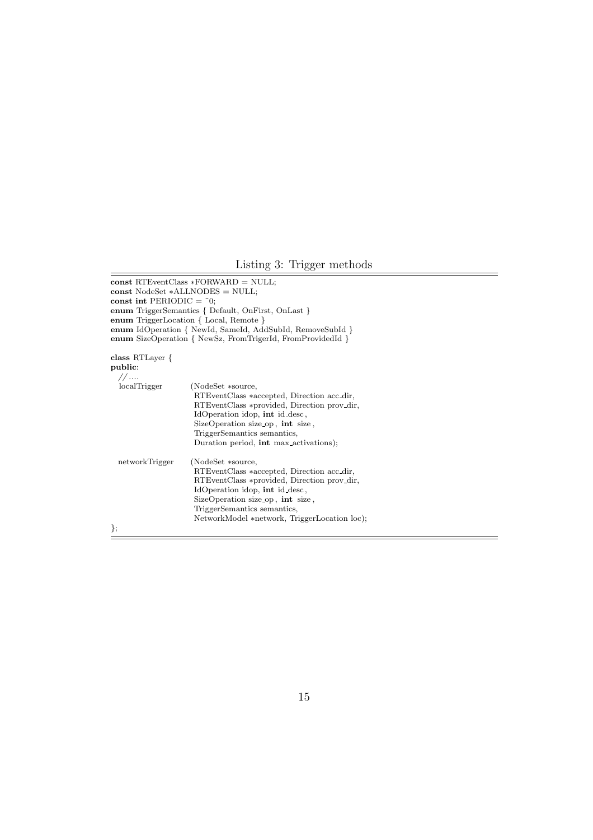#### Listing 3: Trigger methods

```
const RTEventClass ∗FORWARD = NULL;
const NodeSet ∗ALLNODES = NULL;
const int PERIODIC = \tilde{c}0;
enum TriggerSemantics { Default, OnFirst, OnLast }
enum TriggerLocation { Local, Remote }
enum IdOperation { NewId, SameId, AddSubId, RemoveSubId }
enum SizeOperation { NewSz, FromTrigerId, FromProvidedId }
class RTLayer {
public:
  // ....<br>localTrigger
                    (NodeSet ∗source,
                     RTEventClass ∗accepted, Direction acc dir,
                     RTEventClass ∗provided, Direction prov dir,
                     IdOperation idop, int id desc ,
                     SizeOperation size op, int size,
                     TriggerSemantics semantics,
                     Duration period, int max activations);
 networkTrigger (NodeSet ∗source,
                     RTEventClass ∗accepted, Direction acc dir,
                     RTEventClass ∗provided, Direction prov dir,
                     IdOperation idop, int id desc ,
                     SizeOperation size op, int size,
                     TriggerSemantics semantics,
                     NetworkModel ∗network, TriggerLocation loc);
```
};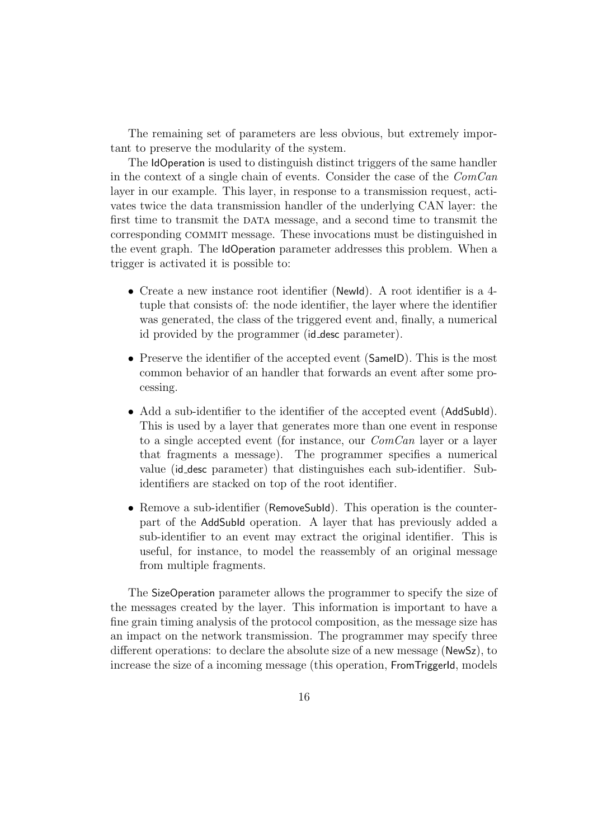The remaining set of parameters are less obvious, but extremely important to preserve the modularity of the system.

The IdOperation is used to distinguish distinct triggers of the same handler in the context of a single chain of events. Consider the case of the ComCan layer in our example. This layer, in response to a transmission request, activates twice the data transmission handler of the underlying CAN layer: the first time to transmit the DATA message, and a second time to transmit the corresponding commit message. These invocations must be distinguished in the event graph. The IdOperation parameter addresses this problem. When a trigger is activated it is possible to:

- Create a new instance root identifier (NewId). A root identifier is a 4 tuple that consists of: the node identifier, the layer where the identifier was generated, the class of the triggered event and, finally, a numerical id provided by the programmer (id desc parameter).
- Preserve the identifier of the accepted event (Same ID). This is the most common behavior of an handler that forwards an event after some processing.
- Add a sub-identifier to the identifier of the accepted event (AddSubId). This is used by a layer that generates more than one event in response to a single accepted event (for instance, our  $ComCan$  layer or a layer that fragments a message). The programmer specifies a numerical value (id desc parameter) that distinguishes each sub-identifier. Subidentifiers are stacked on top of the root identifier.
- Remove a sub-identifier (RemoveSubId). This operation is the counterpart of the AddSubId operation. A layer that has previously added a sub-identifier to an event may extract the original identifier. This is useful, for instance, to model the reassembly of an original message from multiple fragments.

The SizeOperation parameter allows the programmer to specify the size of the messages created by the layer. This information is important to have a fine grain timing analysis of the protocol composition, as the message size has an impact on the network transmission. The programmer may specify three different operations: to declare the absolute size of a new message (NewSz), to increase the size of a incoming message (this operation, FromTriggerId, models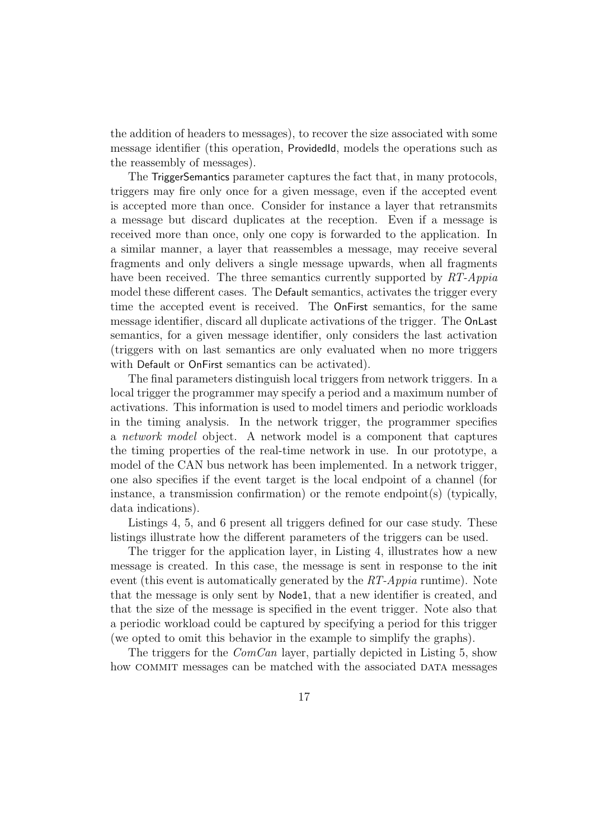the addition of headers to messages), to recover the size associated with some message identifier (this operation, ProvidedId, models the operations such as the reassembly of messages).

The TriggerSemantics parameter captures the fact that, in many protocols, triggers may fire only once for a given message, even if the accepted event is accepted more than once. Consider for instance a layer that retransmits a message but discard duplicates at the reception. Even if a message is received more than once, only one copy is forwarded to the application. In a similar manner, a layer that reassembles a message, may receive several fragments and only delivers a single message upwards, when all fragments have been received. The three semantics currently supported by RT-Appia model these different cases. The Default semantics, activates the trigger every time the accepted event is received. The OnFirst semantics, for the same message identifier, discard all duplicate activations of the trigger. The OnLast semantics, for a given message identifier, only considers the last activation (triggers with on last semantics are only evaluated when no more triggers with Default or OnFirst semantics can be activated).

The final parameters distinguish local triggers from network triggers. In a local trigger the programmer may specify a period and a maximum number of activations. This information is used to model timers and periodic workloads in the timing analysis. In the network trigger, the programmer specifies a network model object. A network model is a component that captures the timing properties of the real-time network in use. In our prototype, a model of the CAN bus network has been implemented. In a network trigger, one also specifies if the event target is the local endpoint of a channel (for instance, a transmission confirmation) or the remote endpoint(s) (typically, data indications).

Listings 4, 5, and 6 present all triggers defined for our case study. These listings illustrate how the different parameters of the triggers can be used.

The trigger for the application layer, in Listing 4, illustrates how a new message is created. In this case, the message is sent in response to the init event (this event is automatically generated by the  $RT\text{-}Appia$  runtime). Note that the message is only sent by Node1, that a new identifier is created, and that the size of the message is specified in the event trigger. Note also that a periodic workload could be captured by specifying a period for this trigger (we opted to omit this behavior in the example to simplify the graphs).

The triggers for the ComCan layer, partially depicted in Listing 5, show how COMMIT messages can be matched with the associated DATA messages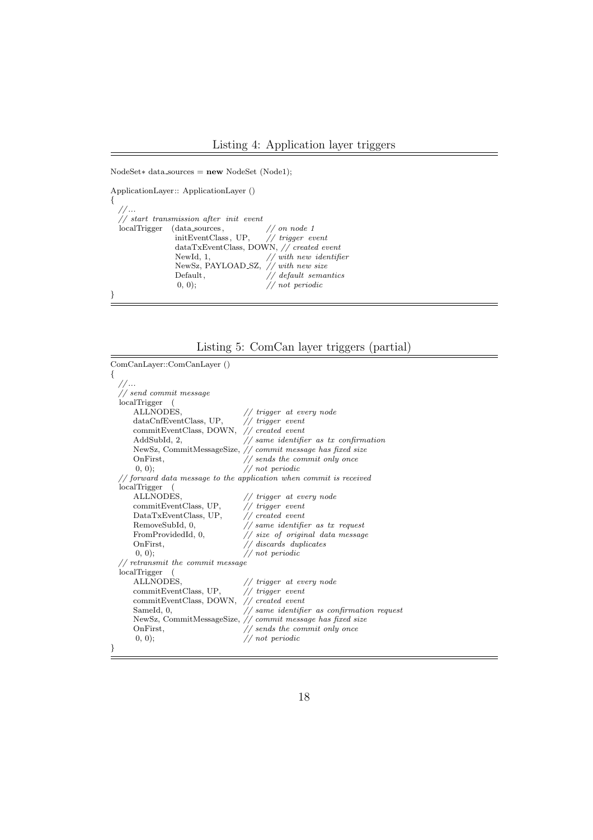```
NodeSet∗ data sources = new NodeSet (Node1);
```
ApplicationLayer:: ApplicationLayer ()

| // |                                                   |                          |
|----|---------------------------------------------------|--------------------------|
|    | $//$ start transmission after init event          |                          |
|    | $\text{localTrigger}$ (data sources, // on node 1 |                          |
|    | initEventClass, UP, $// trigger event$            |                          |
|    | $dataTxEventClass, DOWN, // created event$        |                          |
|    | NewId, 1,                                         | $//$ with new identifier |
|    |                                                   |                          |
|    | Default,                                          | $//$ default semantics   |
|    | (0, 0);                                           | // not periodic          |
|    |                                                   |                          |
|    | NewSz, PAYLOAD SZ, // with new size               |                          |



| ComCanLayer::ComCanLayer ()                                                         |                                                                |  |  |
|-------------------------------------------------------------------------------------|----------------------------------------------------------------|--|--|
| ₹                                                                                   |                                                                |  |  |
| //                                                                                  |                                                                |  |  |
| $//$ send commit message                                                            |                                                                |  |  |
| localTrigger                                                                        |                                                                |  |  |
| ALLNODES,                                                                           | $\frac{1}{\sqrt{1}}$ trigger at every node                     |  |  |
| dataCnfEventClass, UP, // trigger event                                             |                                                                |  |  |
| commitEventClass, DOWN, // created event                                            |                                                                |  |  |
| AddSubId, 2,                                                                        | $//$ same identifier as tx confirmation                        |  |  |
|                                                                                     | NewSz, CommitMessageSize, // commit message has fixed size     |  |  |
| OnFirst,                                                                            | $\frac{1}{2}$ sends the commit only once                       |  |  |
| (0, 0);                                                                             | // not periodic                                                |  |  |
| $\frac{1}{2}$ forward data message to the application when commit is received       |                                                                |  |  |
| localTrigger<br>$\sqrt{2}$                                                          |                                                                |  |  |
| ALLNODES,                                                                           | $\frac{1}{\sqrt{1}}$ trigger at every node                     |  |  |
| commitEventClass, UP, // trigger event                                              |                                                                |  |  |
| ${\rm DataTxEventClass, \; UP,} \qquad \quad \textit{\textbf{//} created \; event}$ |                                                                |  |  |
| RemoveSubId, 0,                                                                     | $//$ same identifier as $tx$ request                           |  |  |
|                                                                                     | From ProvidedId, 0, $\frac{1}{s}$ ize of original data message |  |  |
| OnFirst,                                                                            | $//$ discards duplicates                                       |  |  |
| (0, 0);                                                                             | // not periodic                                                |  |  |
| $//$ retransmit the commit message                                                  |                                                                |  |  |
| localTrigger                                                                        |                                                                |  |  |
| ALLNODES,                                                                           | $\frac{1}{\sqrt{2}}$ trigger at every node                     |  |  |
| commitEventClass, UP, // trigger event                                              |                                                                |  |  |
| commitEventClass, DOWN, // created event                                            |                                                                |  |  |
| SameId, 0,                                                                          | $\frac{1}{2}$ same identifier as confirmation request          |  |  |
|                                                                                     | NewSz, CommitMessageSize, // commit message has fixed size     |  |  |
| OnFirst,                                                                            | $//$ sends the commit only once                                |  |  |
| (0, 0);                                                                             | // not periodic                                                |  |  |
| ł                                                                                   |                                                                |  |  |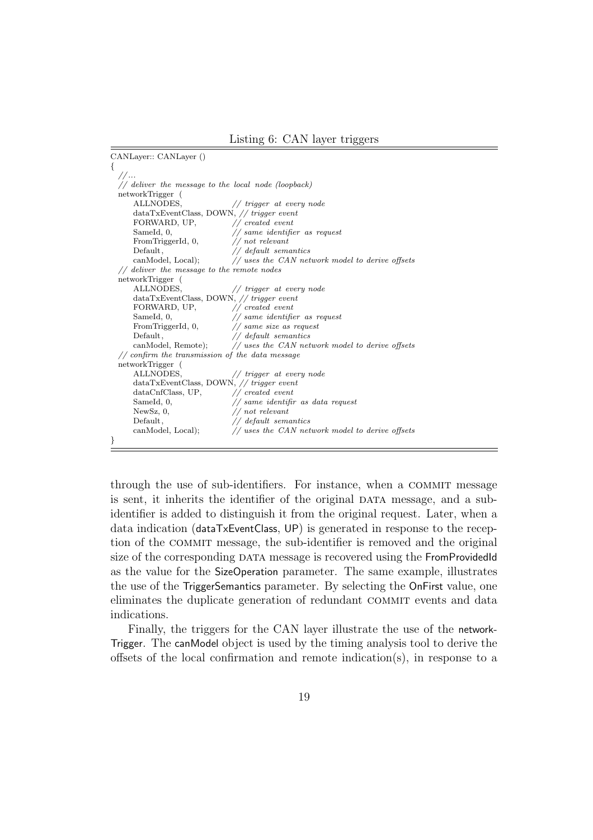Listing 6: CAN layer triggers

```
CANLayer:: CANLayer ()
{
  // ...
  // deliver the message to the local node (loopback)
  networkTrigger (
      ALLNODES, // trigger at every nodedataTxEventClass, DOWN, // trigger event<br>FORMARD, UP. // created event// created event
      SameId, 0, \frac{1}{100} same identifier as request<br>From TriggerId, 0, \frac{1}{100} not relevant
      FromTriggerId, 0,
      Default, // default semanticscanModel, Local); \frac{1}{2} uses the CAN network model to derive offsets
  // deliver the message to the remote nodes
  networkTrigger (
      ALLNODES, \frac{1}{\sqrt{1}} trigger at every node
      dataTxEventClass, DOWN, // trigger event
      FORWARD, UP, // created event
      SameId, 0, // same identifier as request
      FromTriggerId, 0, // same size as request
      Default, \frac{1}{2} default semantics
      canModel, Remote); // uses the CAN network model to derive offsets
  // confirm the transmission of the data message
  networkTrigger (
                                 // trigger at every node
      dataTxEventClass, DOWN, // trigger event<br>dataCnfClass, UP. // created event// created event
      SameId, 0, // same identifir as data request<br>NewSz, 0, // not relevant
      NewSz, 0, \frac{1}{\sqrt{\det(\text{d}t)}} // not relevant
                                 // default semantics
      canModel, Local); // uses the CAN network model to derive offsets
}
```
through the use of sub-identifiers. For instance, when a COMMIT message is sent, it inherits the identifier of the original DATA message, and a subidentifier is added to distinguish it from the original request. Later, when a data indication (dataTxEventClass, UP) is generated in response to the reception of the commit message, the sub-identifier is removed and the original size of the corresponding DATA message is recovered using the FromProvidedId as the value for the SizeOperation parameter. The same example, illustrates the use of the TriggerSemantics parameter. By selecting the OnFirst value, one eliminates the duplicate generation of redundant commit events and data indications.

Finally, the triggers for the CAN layer illustrate the use of the network-Trigger. The canModel object is used by the timing analysis tool to derive the offsets of the local confirmation and remote indication(s), in response to a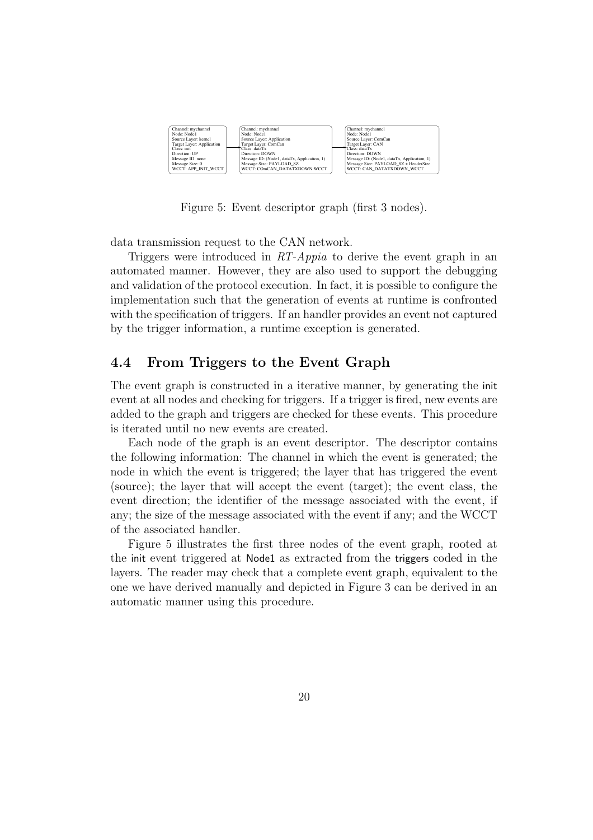

Figure 5: Event descriptor graph (first 3 nodes).

data transmission request to the CAN network.

Triggers were introduced in RT-Appia to derive the event graph in an automated manner. However, they are also used to support the debugging and validation of the protocol execution. In fact, it is possible to configure the implementation such that the generation of events at runtime is confronted with the specification of triggers. If an handler provides an event not captured by the trigger information, a runtime exception is generated.

#### 4.4 From Triggers to the Event Graph

The event graph is constructed in a iterative manner, by generating the init event at all nodes and checking for triggers. If a trigger is fired, new events are added to the graph and triggers are checked for these events. This procedure is iterated until no new events are created.

Each node of the graph is an event descriptor. The descriptor contains the following information: The channel in which the event is generated; the node in which the event is triggered; the layer that has triggered the event (source); the layer that will accept the event (target); the event class, the event direction; the identifier of the message associated with the event, if any; the size of the message associated with the event if any; and the WCCT of the associated handler.

Figure 5 illustrates the first three nodes of the event graph, rooted at the init event triggered at Node1 as extracted from the triggers coded in the layers. The reader may check that a complete event graph, equivalent to the one we have derived manually and depicted in Figure 3 can be derived in an automatic manner using this procedure.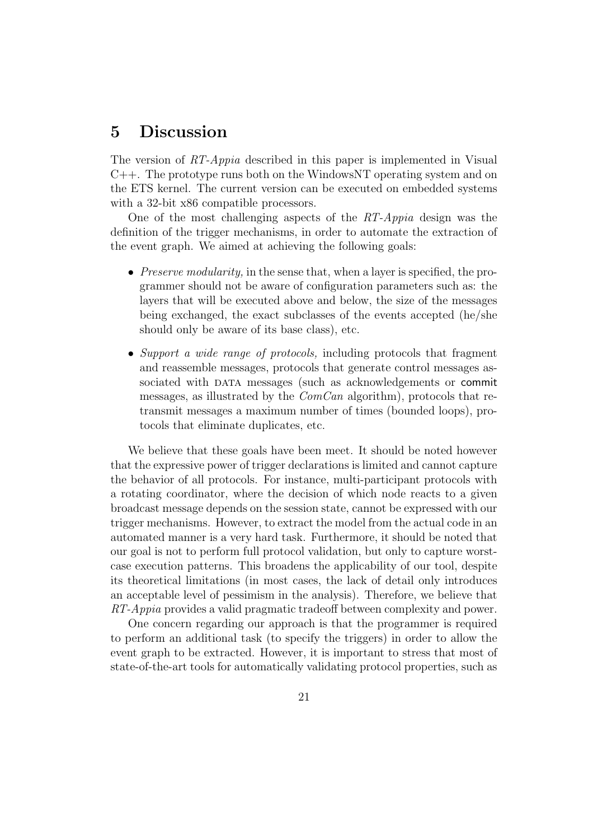## 5 Discussion

The version of RT-Appia described in this paper is implemented in Visual  $C_{++}$ . The prototype runs both on the WindowsNT operating system and on the ETS kernel. The current version can be executed on embedded systems with a 32-bit  $x86$  compatible processors.

One of the most challenging aspects of the  $RT\text{-}Appia$  design was the definition of the trigger mechanisms, in order to automate the extraction of the event graph. We aimed at achieving the following goals:

- Preserve modularity, in the sense that, when a layer is specified, the programmer should not be aware of configuration parameters such as: the layers that will be executed above and below, the size of the messages being exchanged, the exact subclasses of the events accepted (he/she should only be aware of its base class), etc.
- Support a wide range of protocols, including protocols that fragment and reassemble messages, protocols that generate control messages associated with DATA messages (such as acknowledgements or commit messages, as illustrated by the  $ComCan$  algorithm), protocols that retransmit messages a maximum number of times (bounded loops), protocols that eliminate duplicates, etc.

We believe that these goals have been meet. It should be noted however that the expressive power of trigger declarations is limited and cannot capture the behavior of all protocols. For instance, multi-participant protocols with a rotating coordinator, where the decision of which node reacts to a given broadcast message depends on the session state, cannot be expressed with our trigger mechanisms. However, to extract the model from the actual code in an automated manner is a very hard task. Furthermore, it should be noted that our goal is not to perform full protocol validation, but only to capture worstcase execution patterns. This broadens the applicability of our tool, despite its theoretical limitations (in most cases, the lack of detail only introduces an acceptable level of pessimism in the analysis). Therefore, we believe that RT-Appia provides a valid pragmatic tradeoff between complexity and power.

One concern regarding our approach is that the programmer is required to perform an additional task (to specify the triggers) in order to allow the event graph to be extracted. However, it is important to stress that most of state-of-the-art tools for automatically validating protocol properties, such as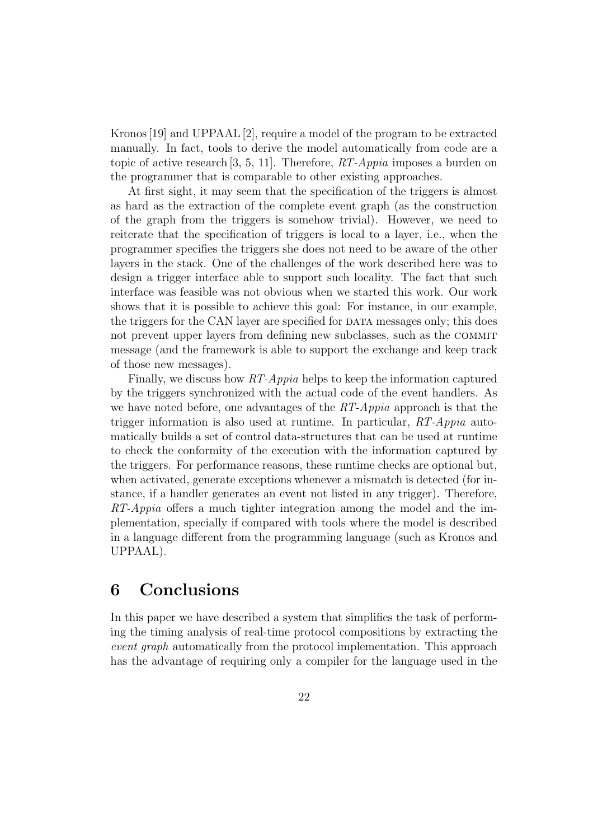Kronos[19] and UPPAAL [2], require a model of the program to be extracted manually. In fact, tools to derive the model automatically from code are a topic of active research [3, 5, 11]. Therefore,  $RT\text{-}Appia$  imposes a burden on the programmer that is comparable to other existing approaches.

At first sight, it may seem that the specification of the triggers is almost as hard as the extraction of the complete event graph (as the construction of the graph from the triggers is somehow trivial). However, we need to reiterate that the specification of triggers is local to a layer, i.e., when the programmer specifies the triggers she does not need to be aware of the other layers in the stack. One of the challenges of the work described here was to design a trigger interface able to support such locality. The fact that such interface was feasible was not obvious when we started this work. Our work shows that it is possible to achieve this goal: For instance, in our example, the triggers for the CAN layer are specified for DATA messages only; this does not prevent upper layers from defining new subclasses, such as the COMMIT message (and the framework is able to support the exchange and keep track of those new messages).

Finally, we discuss how RT-Appia helps to keep the information captured by the triggers synchronized with the actual code of the event handlers. As we have noted before, one advantages of the  $RT-Appia$  approach is that the trigger information is also used at runtime. In particular, RT-Appia automatically builds a set of control data-structures that can be used at runtime to check the conformity of the execution with the information captured by the triggers. For performance reasons, these runtime checks are optional but, when activated, generate exceptions whenever a mismatch is detected (for instance, if a handler generates an event not listed in any trigger). Therefore, RT-Appia offers a much tighter integration among the model and the implementation, specially if compared with tools where the model is described in a language different from the programming language (such as Kronos and UPPAAL).

# 6 Conclusions

In this paper we have described a system that simplifies the task of performing the timing analysis of real-time protocol compositions by extracting the event graph automatically from the protocol implementation. This approach has the advantage of requiring only a compiler for the language used in the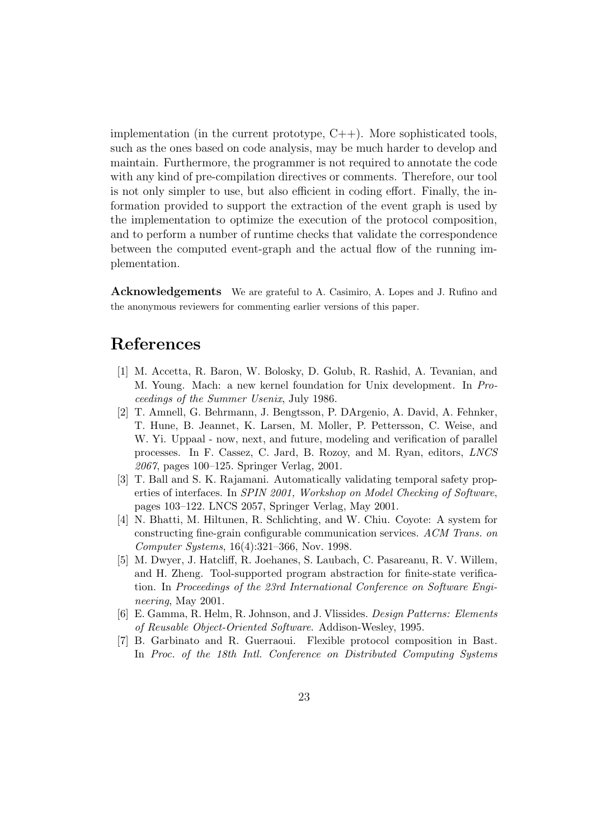implementation (in the current prototype,  $C_{++}$ ). More sophisticated tools, such as the ones based on code analysis, may be much harder to develop and maintain. Furthermore, the programmer is not required to annotate the code with any kind of pre-compilation directives or comments. Therefore, our tool is not only simpler to use, but also efficient in coding effort. Finally, the information provided to support the extraction of the event graph is used by the implementation to optimize the execution of the protocol composition, and to perform a number of runtime checks that validate the correspondence between the computed event-graph and the actual flow of the running implementation.

Acknowledgements We are grateful to A. Casimiro, A. Lopes and J. Rufino and the anonymous reviewers for commenting earlier versions of this paper.

### References

- [1] M. Accetta, R. Baron, W. Bolosky, D. Golub, R. Rashid, A. Tevanian, and M. Young. Mach: a new kernel foundation for Unix development. In Proceedings of the Summer Usenix, July 1986.
- [2] T. Amnell, G. Behrmann, J. Bengtsson, P. DArgenio, A. David, A. Fehnker, T. Hune, B. Jeannet, K. Larsen, M. Moller, P. Pettersson, C. Weise, and W. Yi. Uppaal - now, next, and future, modeling and verification of parallel processes. In F. Cassez, C. Jard, B. Rozoy, and M. Ryan, editors, LNCS 2067, pages 100–125. Springer Verlag, 2001.
- [3] T. Ball and S. K. Rajamani. Automatically validating temporal safety properties of interfaces. In SPIN 2001, Workshop on Model Checking of Software, pages 103–122. LNCS 2057, Springer Verlag, May 2001.
- [4] N. Bhatti, M. Hiltunen, R. Schlichting, and W. Chiu. Coyote: A system for constructing fine-grain configurable communication services. ACM Trans. on Computer Systems, 16(4):321–366, Nov. 1998.
- [5] M. Dwyer, J. Hatcliff, R. Joehanes, S. Laubach, C. Pasareanu, R. V. Willem, and H. Zheng. Tool-supported program abstraction for finite-state verification. In Proceedings of the 23rd International Conference on Software Engineering, May 2001.
- [6] E. Gamma, R. Helm, R. Johnson, and J. Vlissides. Design Patterns: Elements of Reusable Object-Oriented Software. Addison-Wesley, 1995.
- [7] B. Garbinato and R. Guerraoui. Flexible protocol composition in Bast. In Proc. of the 18th Intl. Conference on Distributed Computing Systems